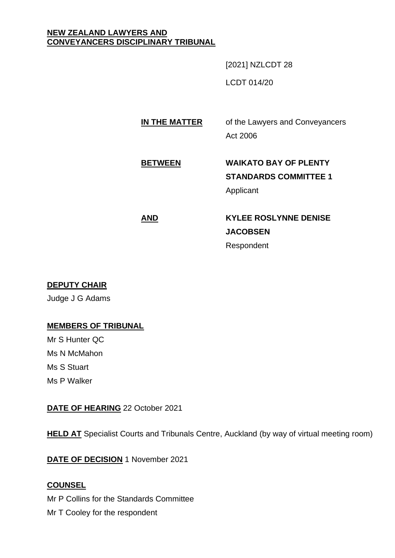#### **NEW ZEALAND LAWYERS AND CONVEYANCERS DISCIPLINARY TRIBUNAL**

[2021] NZLCDT 28

LCDT 014/20

## **IN THE MATTER** of the Lawyers and Conveyancers Act 2006

## **BETWEEN WAIKATO BAY OF PLENTY STANDARDS COMMITTEE 1** Applicant

# **AND KYLEE ROSLYNNE DENISE JACOBSEN** Respondent

## **DEPUTY CHAIR**

Judge J G Adams

## **MEMBERS OF TRIBUNAL**

Mr S Hunter QC Ms N McMahon Ms S Stuart Ms P Walker

## **DATE OF HEARING** 22 October 2021

**HELD AT** Specialist Courts and Tribunals Centre, Auckland (by way of virtual meeting room)

**DATE OF DECISION** 1 November 2021

## **COUNSEL**

Mr P Collins for the Standards Committee Mr T Cooley for the respondent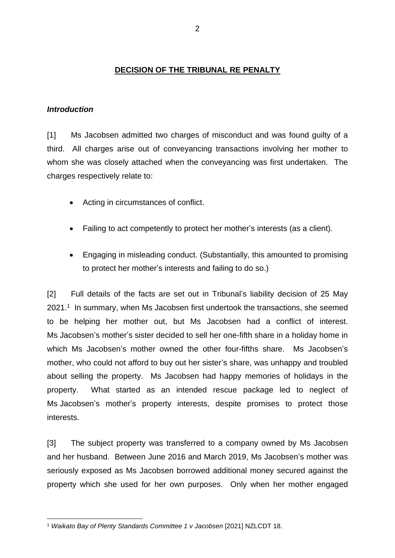#### **DECISION OF THE TRIBUNAL RE PENALTY**

#### *Introduction*

[1] Ms Jacobsen admitted two charges of misconduct and was found guilty of a third. All charges arise out of conveyancing transactions involving her mother to whom she was closely attached when the conveyancing was first undertaken. The charges respectively relate to:

- Acting in circumstances of conflict.
- Failing to act competently to protect her mother's interests (as a client).
- Engaging in misleading conduct. (Substantially, this amounted to promising to protect her mother's interests and failing to do so.)

[2] Full details of the facts are set out in Tribunal's liability decision of 25 May 2021.<sup>1</sup> In summary, when Ms Jacobsen first undertook the transactions, she seemed to be helping her mother out, but Ms Jacobsen had a conflict of interest. Ms Jacobsen's mother's sister decided to sell her one-fifth share in a holiday home in which Ms Jacobsen's mother owned the other four-fifths share. Ms Jacobsen's mother, who could not afford to buy out her sister's share, was unhappy and troubled about selling the property. Ms Jacobsen had happy memories of holidays in the property. What started as an intended rescue package led to neglect of Ms Jacobsen's mother's property interests, despite promises to protect those interests.

[3] The subject property was transferred to a company owned by Ms Jacobsen and her husband. Between June 2016 and March 2019, Ms Jacobsen's mother was seriously exposed as Ms Jacobsen borrowed additional money secured against the property which she used for her own purposes. Only when her mother engaged

<sup>1</sup> *Waikato Bay of Plenty Standards Committee 1 v Jacobsen* [2021] NZLCDT 18.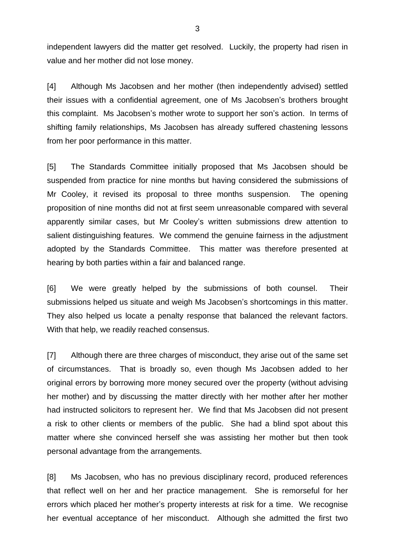independent lawyers did the matter get resolved. Luckily, the property had risen in value and her mother did not lose money.

[4] Although Ms Jacobsen and her mother (then independently advised) settled their issues with a confidential agreement, one of Ms Jacobsen's brothers brought this complaint. Ms Jacobsen's mother wrote to support her son's action. In terms of shifting family relationships, Ms Jacobsen has already suffered chastening lessons from her poor performance in this matter.

[5] The Standards Committee initially proposed that Ms Jacobsen should be suspended from practice for nine months but having considered the submissions of Mr Cooley, it revised its proposal to three months suspension. The opening proposition of nine months did not at first seem unreasonable compared with several apparently similar cases, but Mr Cooley's written submissions drew attention to salient distinguishing features. We commend the genuine fairness in the adjustment adopted by the Standards Committee. This matter was therefore presented at hearing by both parties within a fair and balanced range.

[6] We were greatly helped by the submissions of both counsel. Their submissions helped us situate and weigh Ms Jacobsen's shortcomings in this matter. They also helped us locate a penalty response that balanced the relevant factors. With that help, we readily reached consensus.

[7] Although there are three charges of misconduct, they arise out of the same set of circumstances. That is broadly so, even though Ms Jacobsen added to her original errors by borrowing more money secured over the property (without advising her mother) and by discussing the matter directly with her mother after her mother had instructed solicitors to represent her. We find that Ms Jacobsen did not present a risk to other clients or members of the public. She had a blind spot about this matter where she convinced herself she was assisting her mother but then took personal advantage from the arrangements.

[8] Ms Jacobsen, who has no previous disciplinary record, produced references that reflect well on her and her practice management. She is remorseful for her errors which placed her mother's property interests at risk for a time. We recognise her eventual acceptance of her misconduct. Although she admitted the first two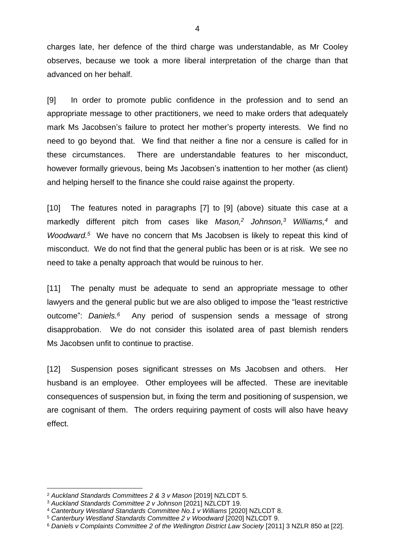charges late, her defence of the third charge was understandable, as Mr Cooley observes, because we took a more liberal interpretation of the charge than that advanced on her behalf.

[9] In order to promote public confidence in the profession and to send an appropriate message to other practitioners, we need to make orders that adequately mark Ms Jacobsen's failure to protect her mother's property interests. We find no need to go beyond that. We find that neither a fine nor a censure is called for in these circumstances. There are understandable features to her misconduct, however formally grievous, being Ms Jacobsen's inattention to her mother (as client) and helping herself to the finance she could raise against the property.

[10] The features noted in paragraphs [7] to [9] (above) situate this case at a markedly different pitch from cases like *Mason,<sup>2</sup> Johnson, <sup>3</sup> Williams,<sup>4</sup>* and *Woodward. <sup>5</sup>* We have no concern that Ms Jacobsen is likely to repeat this kind of misconduct. We do not find that the general public has been or is at risk. We see no need to take a penalty approach that would be ruinous to her.

[11] The penalty must be adequate to send an appropriate message to other lawyers and the general public but we are also obliged to impose the "least restrictive outcome": *Daniels.* Any period of suspension sends a message of strong disapprobation. We do not consider this isolated area of past blemish renders Ms Jacobsen unfit to continue to practise.

[12] Suspension poses significant stresses on Ms Jacobsen and others. Her husband is an employee. Other employees will be affected. These are inevitable consequences of suspension but, in fixing the term and positioning of suspension, we are cognisant of them. The orders requiring payment of costs will also have heavy effect.

<sup>2</sup> *Auckland Standards Committees 2 & 3 v Mason* [2019] NZLCDT 5.

<sup>3</sup> *Auckland Standards Committee 2 v Johnson* [2021] NZLCDT 19.

<sup>4</sup> *Canterbury Westland Standards Committee No.1 v Williams* [2020] NZLCDT 8.

<sup>5</sup> *Canterbury Westland Standards Committee 2 v Woodward* [2020] NZLCDT 9.

<sup>6</sup> *Daniels v Complaints Committee 2 of the Wellington District Law Society* [2011] 3 NZLR 850 at [22].